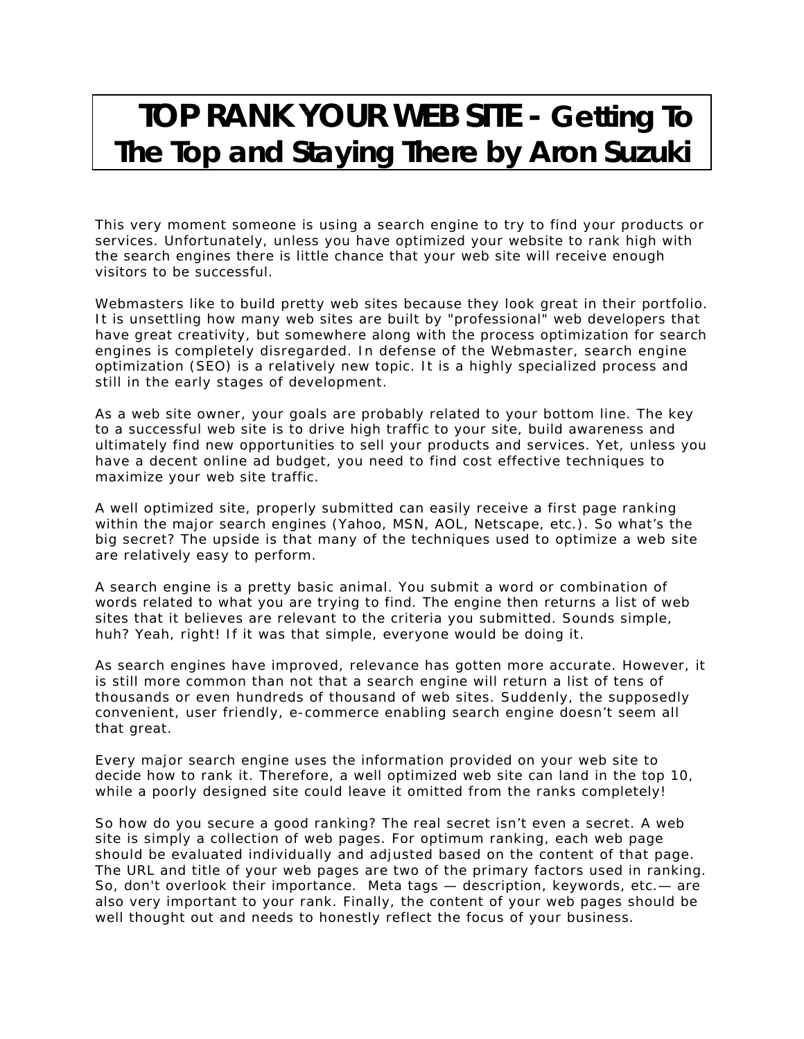## **TOP RANK YOUR WEB SITE - Getting To The Top and Staying There by Aron Suzuki**

This very moment someone is using a search engine to try to find your products or services. Unfortunately, unless you have optimized your website to rank high with the search engines there is little chance that your web site will receive enough visitors to be successful.

Webmasters like to build pretty web sites because they look great in their portfolio. It is unsettling how many web sites are built by "professional" web developers that have great creativity, but somewhere along with the process optimization for search engines is completely disregarded. In defense of the Webmaster, search engine optimization (SEO) is a relatively new topic. It is a highly specialized process and still in the early stages of development.

As a web site owner, your goals are probably related to your bottom line. The key to a successful web site is to drive high traffic to your site, build awareness and ultimately find new opportunities to sell your products and services. Yet, unless you have a decent online ad budget, you need to find cost effective techniques to maximize your web site traffic.

A well optimized site, properly submitted can easily receive a first page ranking within the major search engines (Yahoo, MSN, AOL, Netscape, etc.). So what's the big secret? The upside is that many of the techniques used to optimize a web site are relatively easy to perform.

A search engine is a pretty basic animal. You submit a word or combination of words related to what you are trying to find. The engine then returns a list of web sites that it believes are relevant to the criteria you submitted. Sounds simple, huh? Yeah, right! If it was that simple, everyone would be doing it.

As search engines have improved, relevance has gotten more accurate. However, it is still more common than not that a search engine will return a list of tens of thousands or even hundreds of thousand of web sites. Suddenly, the supposedly convenient, user friendly, e-commerce enabling search engine doesn't seem all that great.

Every major search engine uses the information provided on your web site to decide how to rank it. Therefore, a well optimized web site can land in the top 10, while a poorly designed site could leave it omitted from the ranks completely!

So how do you secure a good ranking? The real secret isn't even a secret. A web site is simply a collection of web pages. For optimum ranking, each web page should be evaluated individually and adjusted based on the content of that page. The URL and title of your web pages are two of the primary factors used in ranking. So, don't overlook their importance. Meta tags — description, keywords, etc.— are also very important to your rank. Finally, the content of your web pages should be well thought out and needs to honestly reflect the focus of your business.